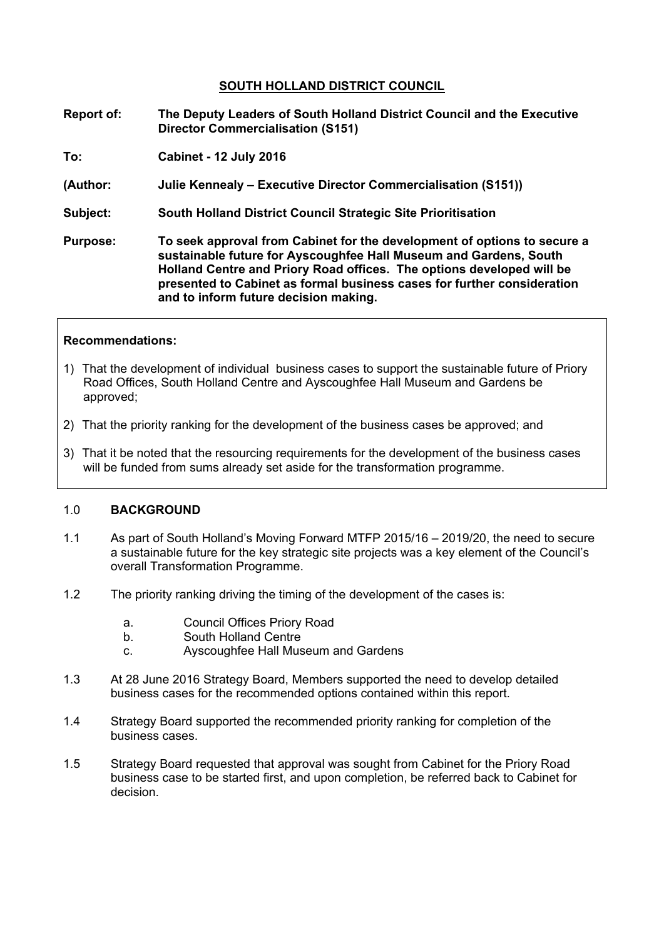### **SOUTH HOLLAND DISTRICT COUNCIL**

- **Report of: The Deputy Leaders of South Holland District Council and the Executive Director Commercialisation (S151)**
- **To: Cabinet - 12 July 2016**
- **(Author: Julie Kennealy – Executive Director Commercialisation (S151))**
- **Subject: South Holland District Council Strategic Site Prioritisation**
- **Purpose: To seek approval from Cabinet for the development of options to secure a sustainable future for Ayscoughfee Hall Museum and Gardens, South Holland Centre and Priory Road offices. The options developed will be presented to Cabinet as formal business cases for further consideration and to inform future decision making.**

#### **Recommendations:**

- 1) That the development of individual business cases to support the sustainable future of Priory Road Offices, South Holland Centre and Ayscoughfee Hall Museum and Gardens be approved;
- 2) That the priority ranking for the development of the business cases be approved; and
- 3) That it be noted that the resourcing requirements for the development of the business cases will be funded from sums already set aside for the transformation programme.

### 1.0 **BACKGROUND**

- 1.1 As part of South Holland's Moving Forward MTFP 2015/16 2019/20, the need to secure a sustainable future for the key strategic site projects was a key element of the Council's overall Transformation Programme.
- 1.2 The priority ranking driving the timing of the development of the cases is:
	- a. Council Offices Priory Road
	- b. South Holland Centre
	- c. Ayscoughfee Hall Museum and Gardens
- 1.3 At 28 June 2016 Strategy Board, Members supported the need to develop detailed business cases for the recommended options contained within this report.
- 1.4 Strategy Board supported the recommended priority ranking for completion of the business cases.
- 1.5 Strategy Board requested that approval was sought from Cabinet for the Priory Road business case to be started first, and upon completion, be referred back to Cabinet for decision.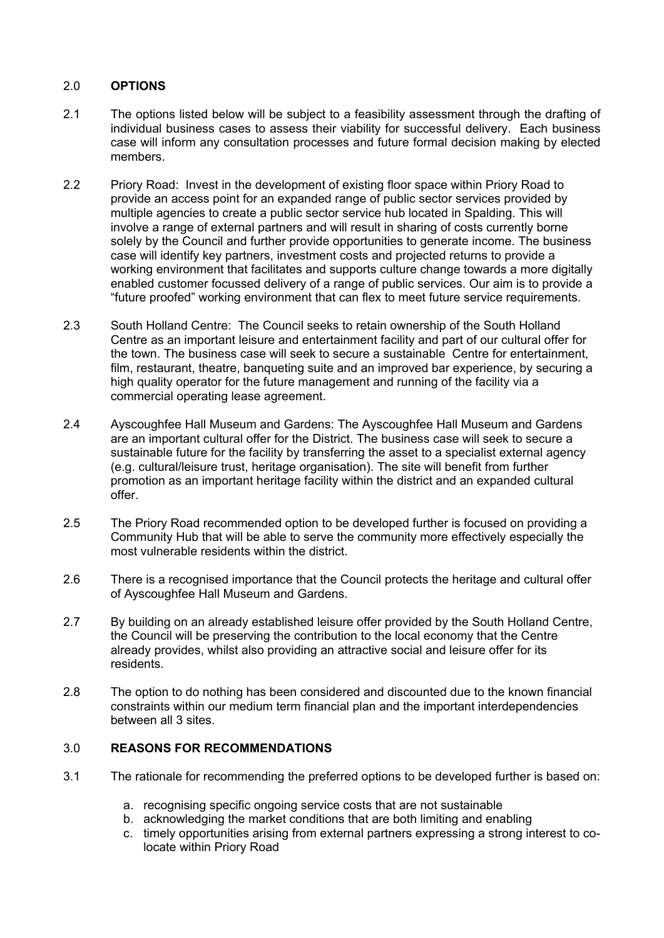# 2.0 **OPTIONS**

- 2.1 The options listed below will be subject to a feasibility assessment through the drafting of individual business cases to assess their viability for successful delivery. Each business case will inform any consultation processes and future formal decision making by elected members.
- 2.2 Priory Road: Invest in the development of existing floor space within Priory Road to provide an access point for an expanded range of public sector services provided by multiple agencies to create a public sector service hub located in Spalding. This will involve a range of external partners and will result in sharing of costs currently borne solely by the Council and further provide opportunities to generate income. The business case will identify key partners, investment costs and projected returns to provide a working environment that facilitates and supports culture change towards a more digitally enabled customer focussed delivery of a range of public services. Our aim is to provide a "future proofed" working environment that can flex to meet future service requirements.
- 2.3 South Holland Centre: The Council seeks to retain ownership of the South Holland Centre as an important leisure and entertainment facility and part of our cultural offer for the town. The business case will seek to secure a sustainable Centre for entertainment, film, restaurant, theatre, banqueting suite and an improved bar experience, by securing a high quality operator for the future management and running of the facility via a commercial operating lease agreement.
- 2.4 Ayscoughfee Hall Museum and Gardens: The Ayscoughfee Hall Museum and Gardens are an important cultural offer for the District. The business case will seek to secure a sustainable future for the facility by transferring the asset to a specialist external agency (e.g. cultural/leisure trust, heritage organisation). The site will benefit from further promotion as an important heritage facility within the district and an expanded cultural offer.
- 2.5 The Priory Road recommended option to be developed further is focused on providing a Community Hub that will be able to serve the community more effectively especially the most vulnerable residents within the district.
- 2.6 There is a recognised importance that the Council protects the heritage and cultural offer of Ayscoughfee Hall Museum and Gardens.
- 2.7 By building on an already established leisure offer provided by the South Holland Centre, the Council will be preserving the contribution to the local economy that the Centre already provides, whilst also providing an attractive social and leisure offer for its residents.
- 2.8 The option to do nothing has been considered and discounted due to the known financial constraints within our medium term financial plan and the important interdependencies between all 3 sites.

### 3.0 **REASONS FOR RECOMMENDATIONS**

- 3.1 The rationale for recommending the preferred options to be developed further is based on:
	- a. recognising specific ongoing service costs that are not sustainable
	- b. acknowledging the market conditions that are both limiting and enabling
	- c. timely opportunities arising from external partners expressing a strong interest to colocate within Priory Road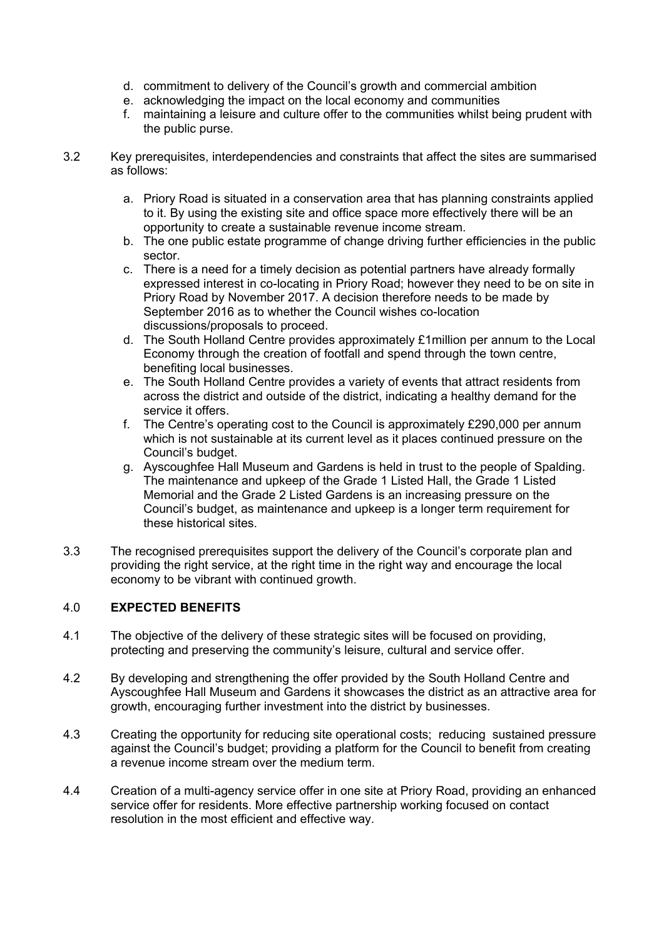- d. commitment to delivery of the Council's growth and commercial ambition
- e. acknowledging the impact on the local economy and communities
- f. maintaining a leisure and culture offer to the communities whilst being prudent with the public purse.
- 3.2 Key prerequisites, interdependencies and constraints that affect the sites are summarised as follows:
	- a. Priory Road is situated in a conservation area that has planning constraints applied to it. By using the existing site and office space more effectively there will be an opportunity to create a sustainable revenue income stream.
	- b. The one public estate programme of change driving further efficiencies in the public sector.
	- c. There is a need for a timely decision as potential partners have already formally expressed interest in co-locating in Priory Road; however they need to be on site in Priory Road by November 2017. A decision therefore needs to be made by September 2016 as to whether the Council wishes co-location discussions/proposals to proceed.
	- d. The South Holland Centre provides approximately £1million per annum to the Local Economy through the creation of footfall and spend through the town centre, benefiting local businesses.
	- e. The South Holland Centre provides a variety of events that attract residents from across the district and outside of the district, indicating a healthy demand for the service it offers.
	- f. The Centre's operating cost to the Council is approximately £290,000 per annum which is not sustainable at its current level as it places continued pressure on the Council's budget.
	- g. Ayscoughfee Hall Museum and Gardens is held in trust to the people of Spalding. The maintenance and upkeep of the Grade 1 Listed Hall, the Grade 1 Listed Memorial and the Grade 2 Listed Gardens is an increasing pressure on the Council's budget, as maintenance and upkeep is a longer term requirement for these historical sites.
- 3.3 The recognised prerequisites support the delivery of the Council's corporate plan and providing the right service, at the right time in the right way and encourage the local economy to be vibrant with continued growth.

# 4.0 **EXPECTED BENEFITS**

- 4.1 The objective of the delivery of these strategic sites will be focused on providing, protecting and preserving the community's leisure, cultural and service offer.
- 4.2 By developing and strengthening the offer provided by the South Holland Centre and Ayscoughfee Hall Museum and Gardens it showcases the district as an attractive area for growth, encouraging further investment into the district by businesses.
- 4.3 Creating the opportunity for reducing site operational costs; reducing sustained pressure against the Council's budget; providing a platform for the Council to benefit from creating a revenue income stream over the medium term.
- 4.4 Creation of a multi-agency service offer in one site at Priory Road, providing an enhanced service offer for residents. More effective partnership working focused on contact resolution in the most efficient and effective way.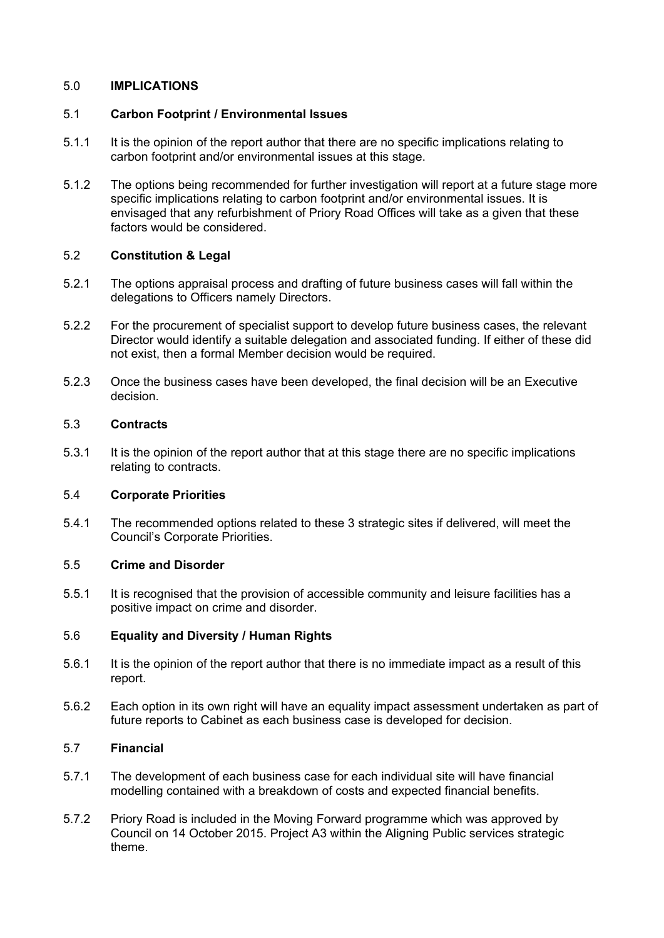## 5.0 **IMPLICATIONS**

## 5.1 **Carbon Footprint / Environmental Issues**

- 5.1.1 It is the opinion of the report author that there are no specific implications relating to carbon footprint and/or environmental issues at this stage.
- 5.1.2 The options being recommended for further investigation will report at a future stage more specific implications relating to carbon footprint and/or environmental issues. It is envisaged that any refurbishment of Priory Road Offices will take as a given that these factors would be considered.

## 5.2 **Constitution & Legal**

- 5.2.1 The options appraisal process and drafting of future business cases will fall within the delegations to Officers namely Directors.
- 5.2.2 For the procurement of specialist support to develop future business cases, the relevant Director would identify a suitable delegation and associated funding. If either of these did not exist, then a formal Member decision would be required.
- 5.2.3 Once the business cases have been developed, the final decision will be an Executive decision.

## 5.3 **Contracts**

5.3.1 It is the opinion of the report author that at this stage there are no specific implications relating to contracts.

### 5.4 **Corporate Priorities**

5.4.1 The recommended options related to these 3 strategic sites if delivered, will meet the Council's Corporate Priorities.

### 5.5 **Crime and Disorder**

5.5.1 It is recognised that the provision of accessible community and leisure facilities has a positive impact on crime and disorder.

### 5.6 **Equality and Diversity / Human Rights**

- 5.6.1 It is the opinion of the report author that there is no immediate impact as a result of this report.
- 5.6.2 Each option in its own right will have an equality impact assessment undertaken as part of future reports to Cabinet as each business case is developed for decision.

### 5.7 **Financial**

- 5.7.1 The development of each business case for each individual site will have financial modelling contained with a breakdown of costs and expected financial benefits.
- 5.7.2 Priory Road is included in the Moving Forward programme which was approved by Council on 14 October 2015. Project A3 within the Aligning Public services strategic theme.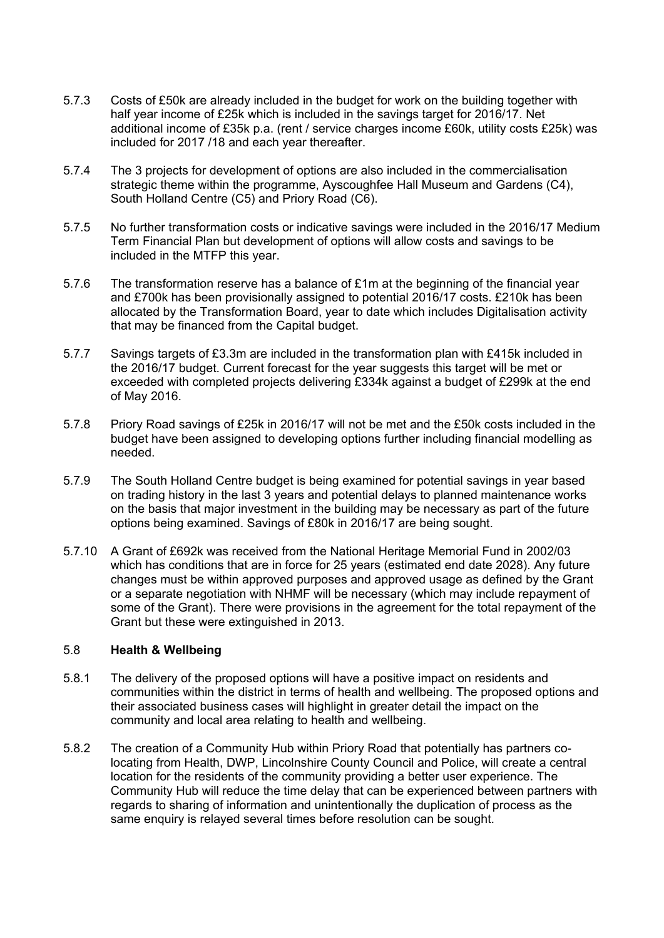- 5.7.3 Costs of £50k are already included in the budget for work on the building together with half year income of £25k which is included in the savings target for 2016/17. Net additional income of £35k p.a. (rent / service charges income £60k, utility costs £25k) was included for 2017 /18 and each year thereafter.
- 5.7.4 The 3 projects for development of options are also included in the commercialisation strategic theme within the programme, Ayscoughfee Hall Museum and Gardens (C4), South Holland Centre (C5) and Priory Road (C6).
- 5.7.5 No further transformation costs or indicative savings were included in the 2016/17 Medium Term Financial Plan but development of options will allow costs and savings to be included in the MTFP this year.
- 5.7.6 The transformation reserve has a balance of £1m at the beginning of the financial year and £700k has been provisionally assigned to potential 2016/17 costs. £210k has been allocated by the Transformation Board, year to date which includes Digitalisation activity that may be financed from the Capital budget.
- 5.7.7 Savings targets of £3.3m are included in the transformation plan with £415k included in the 2016/17 budget. Current forecast for the year suggests this target will be met or exceeded with completed projects delivering £334k against a budget of £299k at the end of May 2016.
- 5.7.8 Priory Road savings of £25k in 2016/17 will not be met and the £50k costs included in the budget have been assigned to developing options further including financial modelling as needed.
- 5.7.9 The South Holland Centre budget is being examined for potential savings in year based on trading history in the last 3 years and potential delays to planned maintenance works on the basis that major investment in the building may be necessary as part of the future options being examined. Savings of £80k in 2016/17 are being sought.
- 5.7.10 A Grant of £692k was received from the National Heritage Memorial Fund in 2002/03 which has conditions that are in force for 25 years (estimated end date 2028). Any future changes must be within approved purposes and approved usage as defined by the Grant or a separate negotiation with NHMF will be necessary (which may include repayment of some of the Grant). There were provisions in the agreement for the total repayment of the Grant but these were extinguished in 2013.

#### 5.8 **Health & Wellbeing**

- 5.8.1 The delivery of the proposed options will have a positive impact on residents and communities within the district in terms of health and wellbeing. The proposed options and their associated business cases will highlight in greater detail the impact on the community and local area relating to health and wellbeing.
- 5.8.2 The creation of a Community Hub within Priory Road that potentially has partners colocating from Health, DWP, Lincolnshire County Council and Police, will create a central location for the residents of the community providing a better user experience. The Community Hub will reduce the time delay that can be experienced between partners with regards to sharing of information and unintentionally the duplication of process as the same enquiry is relayed several times before resolution can be sought.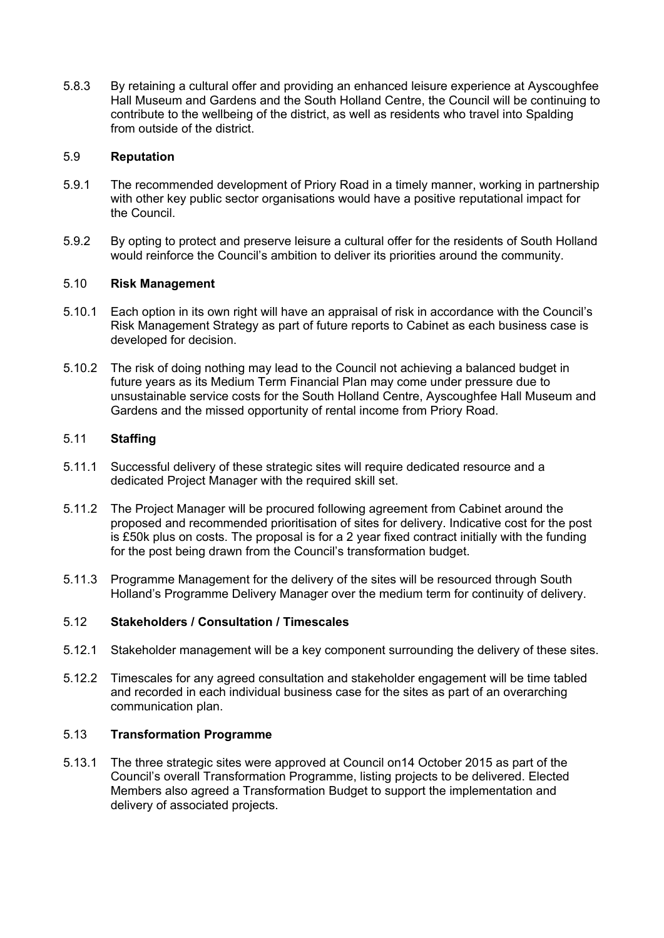5.8.3 By retaining a cultural offer and providing an enhanced leisure experience at Ayscoughfee Hall Museum and Gardens and the South Holland Centre, the Council will be continuing to contribute to the wellbeing of the district, as well as residents who travel into Spalding from outside of the district.

### 5.9 **Reputation**

- 5.9.1 The recommended development of Priory Road in a timely manner, working in partnership with other key public sector organisations would have a positive reputational impact for the Council.
- 5.9.2 By opting to protect and preserve leisure a cultural offer for the residents of South Holland would reinforce the Council's ambition to deliver its priorities around the community.

#### 5.10 **Risk Management**

- 5.10.1 Each option in its own right will have an appraisal of risk in accordance with the Council's Risk Management Strategy as part of future reports to Cabinet as each business case is developed for decision.
- 5.10.2 The risk of doing nothing may lead to the Council not achieving a balanced budget in future years as its Medium Term Financial Plan may come under pressure due to unsustainable service costs for the South Holland Centre, Ayscoughfee Hall Museum and Gardens and the missed opportunity of rental income from Priory Road.

#### 5.11 **Staffing**

- 5.11.1 Successful delivery of these strategic sites will require dedicated resource and a dedicated Project Manager with the required skill set.
- 5.11.2 The Project Manager will be procured following agreement from Cabinet around the proposed and recommended prioritisation of sites for delivery. Indicative cost for the post is £50k plus on costs. The proposal is for a 2 year fixed contract initially with the funding for the post being drawn from the Council's transformation budget.
- 5.11.3 Programme Management for the delivery of the sites will be resourced through South Holland's Programme Delivery Manager over the medium term for continuity of delivery.

#### 5.12 **Stakeholders / Consultation / Timescales**

- 5.12.1 Stakeholder management will be a key component surrounding the delivery of these sites.
- 5.12.2 Timescales for any agreed consultation and stakeholder engagement will be time tabled and recorded in each individual business case for the sites as part of an overarching communication plan.

### 5.13 **Transformation Programme**

5.13.1 The three strategic sites were approved at Council on14 October 2015 as part of the Council's overall Transformation Programme, listing projects to be delivered. Elected Members also agreed a Transformation Budget to support the implementation and delivery of associated projects.